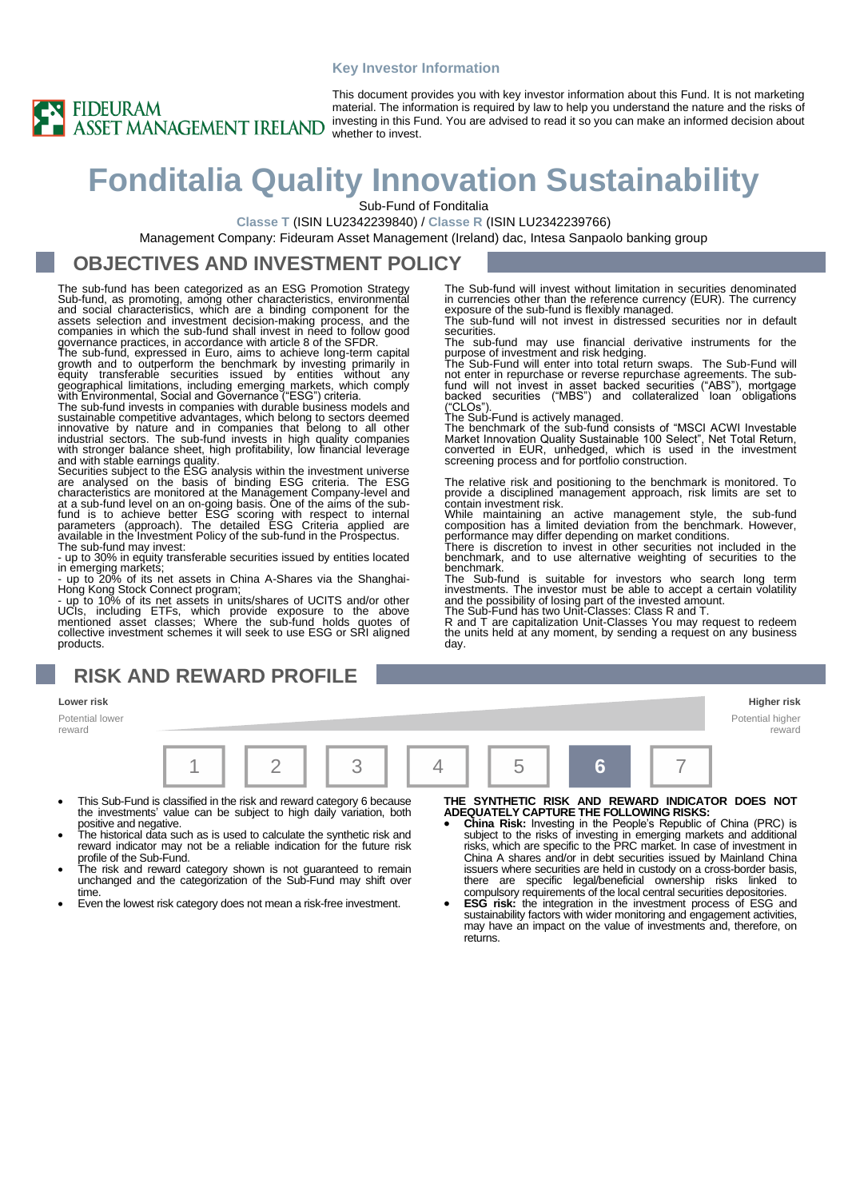#### **Key Investor Information**



This document provides you with key investor information about this Fund. It is not marketing material. The information is required by law to help you understand the nature and the risks of investing in this Fund. You are advised to read it so you can make an informed decision about whether to invest.

# **Fonditalia Quality Innovation Sustainability**

Sub-Fund of Fonditalia

securities.

("CLOs").

contain investment risk.

**Classe T** (ISIN LU2342239840) / **Classe R** (ISIN LU2342239766)

Management Company: Fideuram Asset Management (Ireland) dac, Intesa Sanpaolo banking group

#### **OBJECTIVES AND INVESTMENT POLICY**

The sub-fund has been categorized as an ESG Promotion Strategy Sub-fund, as promoting, among other characteristics, environmental<br>and social characteristics, which are a binding component for the<br>assets selection and investment decision-making process, and the<br>companies in which the s governance practices, in accordance with article 8 of the SFDR.

The sub-fund, expressed in Euro, aims to achieve long-term capital<br>growth and to outperform the benchmark by investing primarily in<br>equity transferable securities issued by entities without any<br>geographical limitations, in

The sub-fund invests in companies with durable business models and sustainable competitive advantages, which belong to sectors deemed<br>innovative by nature and in companies that belong to all other<br>industrial sectors. The sub-fund invests in high quality companies<br>with stronger balance she

are analysed on the basis of binding ESG criteria. The ESG<br>characteristics are monitored at the Management Company-level and<br>at a sub-fund level on an on-going basis. One of the earns of the sub-<br>fund is to achieve beter E The sub-fund may invest:

- up to 30% in equity transferable securities issued by entities located

in emerging markets;<br>- up to 20% of its net assets in China A-Shares via the Shanghai-<br>Hong Kong Stock Connect program;<br>- up to 10% of its net assets in units/shares of UCITS and/or other<br>UCIs, including ETFs, which provid products.

## **RISK AND REWARD PROFILE**

#### **Lower risk Higher risk**

Potential lower reward

|  |  | $4$   5 |  |
|--|--|---------|--|

- This Sub-Fund is classified in the risk and reward category 6 because the investments' value can be subject to high daily variation, both positive and negative.
- The historical data such as is used to calculate the synthetic risk and reward indicator may not be a reliable indication for the future risk profile of the Sub-Fund.
- The risk and reward category shown is not guaranteed to remain unchanged and the categorization of the Sub-Fund may shift over time.
- Even the lowest risk category does not mean a risk-free investment.

- THE SYNTHETIC RISK AND REWARD INDICATOR DOES NOT<br>ADEQUATELY CAPTURE THE FOLLOWING RISKS:<br>• China Risk: Investing in the People's Republic of China (PRC) is<br>subject to the risks of investing in emerging markets and addition China A shares and/or in debt securities issued by Mainland China issuers where securities are held in custody on a cross-border basis, there are specific legal/beneficial ownership risks linked to compulsory requirements of the local central securities depositories.
- **ESG risk:** the integration in the investment process of ESG and sustainability factors with wider monitoring and engagement activities, may have an impact on the value of investments and, therefore, on returns.

Potential higher reward

benchmark, and to use alternative weighting of securities to the

benchmark. The Sub-fund is suitable for investors who search long term investments. The investor must be able to accept a certain volatility and the possibility of losing part of the invested amount. The Sub-Fund has two Unit-Classes: Class R and T.

The Sub-fund will invest without limitation in securities denominated in currencies other than the reference currency (EUR). The currency exposure of the sub-fund is flexibly managed. The sub-fund will not invest in distressed securities nor in default

The sub-fund may use financial derivative instruments for the purpose of investment and risk hedging. The Sub-Fund will enter into total return swaps. The Sub-Fund will not enter in repurchase or reverse repurchase agreements. The subfund will not invest in asset backed securities ("ABS"), mortgage backed securities ("MBS") and collateralized loan obligations

The Sub-Fund is actively managed. The benchmark of the sub-fund consists of "MSCI ACWI Investable Market Innovation Quality Sustainable 100 Select", Net Total Return, converted in EUR, unhedged, which is used in the investment screening process and for portfolio construction.

The relative risk and positioning to the benchmark is monitored. To provide a disciplined management approach, risk limits are set to

While maintaining an active management style, the sub-fund composition has a limited deviation from the benchmark. However, performance may differ depending on market conditions. There is discretion to invest in other securities not included in the

R and T are capitalization Unit-Classes You may request to redeem the units held at any moment, by sending a request on any business day.